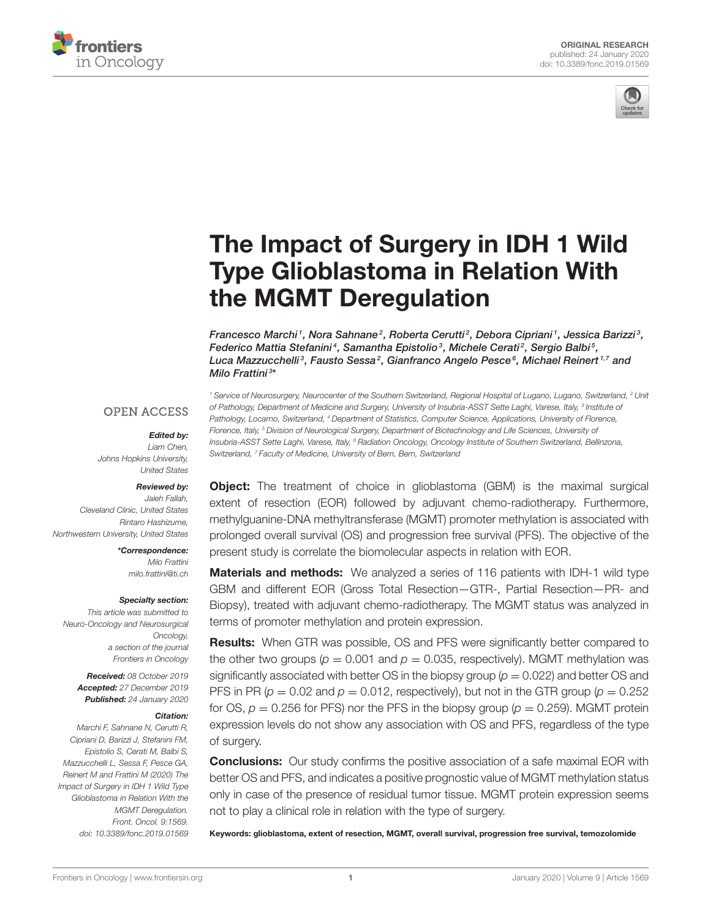



# The Impact of Surgery in IDH 1 Wild [Type Glioblastoma in Relation With](https://www.frontiersin.org/articles/10.3389/fonc.2019.01569/full) the MGMT Deregulation

[Francesco Marchi](http://loop.frontiersin.org/people/696737/overview)<sup>1</sup>, Nora Sahnane<sup>2</sup>, Roberta Cerutti<sup>2</sup>, Debora Cipriani<sup>1</sup>, Jessica Barizzi<sup>3</sup>, [Federico Mattia Stefanini](http://loop.frontiersin.org/people/855364/overview)<sup>4</sup>, [Samantha Epistolio](http://loop.frontiersin.org/people/821025/overview)<sup>3</sup>, Michele Cerati<sup>2</sup>, Sergio Balbi<sup>5</sup>, Luca Mazzucchelli<sup>3</sup>, [Fausto Sessa](http://loop.frontiersin.org/people/243760/overview)<sup>2</sup>, [Gianfranco Angelo Pesce](http://loop.frontiersin.org/people/824253/overview)<sup>s</sup>, [Michael Reinert](http://loop.frontiersin.org/people/681814/overview)<sup>1,7</sup> and [Milo Frattini](http://loop.frontiersin.org/people/41501/overview) <sup>3</sup> \*

*<sup>1</sup> Service of Neurosurgery, Neurocenter of the Southern Switzerland, Regional Hospital of Lugano, Lugano, Switzerland, <sup>2</sup> Unit of Pathology, Department of Medicine and Surgery, University of Insubria-ASST Sette Laghi, Varese, Italy, <sup>3</sup> Institute of Pathology, Locarno, Switzerland, <sup>4</sup> Department of Statistics, Computer Science, Applications, University of Florence, Florence, Italy, <sup>5</sup> Division of Neurological Surgery, Department of Biotechnology and Life Sciences, University of Insubria-ASST Sette Laghi, Varese, Italy, <sup>6</sup> Radiation Oncology, Oncology Institute of Southern Switzerland, Bellinzona,*

## **OPEN ACCESS**

#### Edited by:

*Liam Chen, Johns Hopkins University, United States*

### Reviewed by:

*Jaleh Fallah, Cleveland Clinic, United States Rintaro Hashizume, Northwestern University, United States*

> \*Correspondence: *Milo Frattini [milo.frattini@ti.ch](mailto:milo.frattini@ti.ch)*

#### Specialty section:

*This article was submitted to Neuro-Oncology and Neurosurgical Oncology, a section of the journal Frontiers in Oncology*

> Received: *08 October 2019* Accepted: *27 December 2019* Published: *24 January 2020*

#### Citation:

*Marchi F, Sahnane N, Cerutti R, Cipriani D, Barizzi J, Stefanini FM, Epistolio S, Cerati M, Balbi S, Mazzucchelli L, Sessa F, Pesce GA, Reinert M and Frattini M (2020) The Impact of Surgery in IDH 1 Wild Type Glioblastoma in Relation With the MGMT Deregulation. Front. Oncol. 9:1569. doi: [10.3389/fonc.2019.01569](https://doi.org/10.3389/fonc.2019.01569)* **Object:** The treatment of choice in glioblastoma (GBM) is the maximal surgical extent of resection (EOR) followed by adjuvant chemo-radiotherapy. Furthermore, methylguanine-DNA methyltransferase (MGMT) promoter methylation is associated with prolonged overall survival (OS) and progression free survival (PFS). The objective of the present study is correlate the biomolecular aspects in relation with EOR.

**Materials and methods:** We analyzed a series of 116 patients with IDH-1 wild type GBM and different EOR (Gross Total Resection—GTR-, Partial Resection—PR- and Biopsy), treated with adjuvant chemo-radiotherapy. The MGMT status was analyzed in terms of promoter methylation and protein expression.

Results: When GTR was possible, OS and PFS were significantly better compared to the other two groups ( $p = 0.001$  and  $p = 0.035$ , respectively). MGMT methylation was significantly associated with better OS in the biopsy group (*p* = 0.022) and better OS and PFS in PR ( $p = 0.02$  and  $p = 0.012$ , respectively), but not in the GTR group ( $p = 0.252$ ) for OS,  $p = 0.256$  for PFS) nor the PFS in the biopsy group ( $p = 0.259$ ). MGMT protein expression levels do not show any association with OS and PFS, regardless of the type of surgery.

**Conclusions:** Our study confirms the positive association of a safe maximal EOR with better OS and PFS, and indicates a positive prognostic value of MGMT methylation status only in case of the presence of residual tumor tissue. MGMT protein expression seems not to play a clinical role in relation with the type of surgery.

Keywords: glioblastoma, extent of resection, MGMT, overall survival, progression free survival, temozolomide

*Switzerland, <sup>7</sup> Faculty of Medicine, University of Bern, Bern, Switzerland*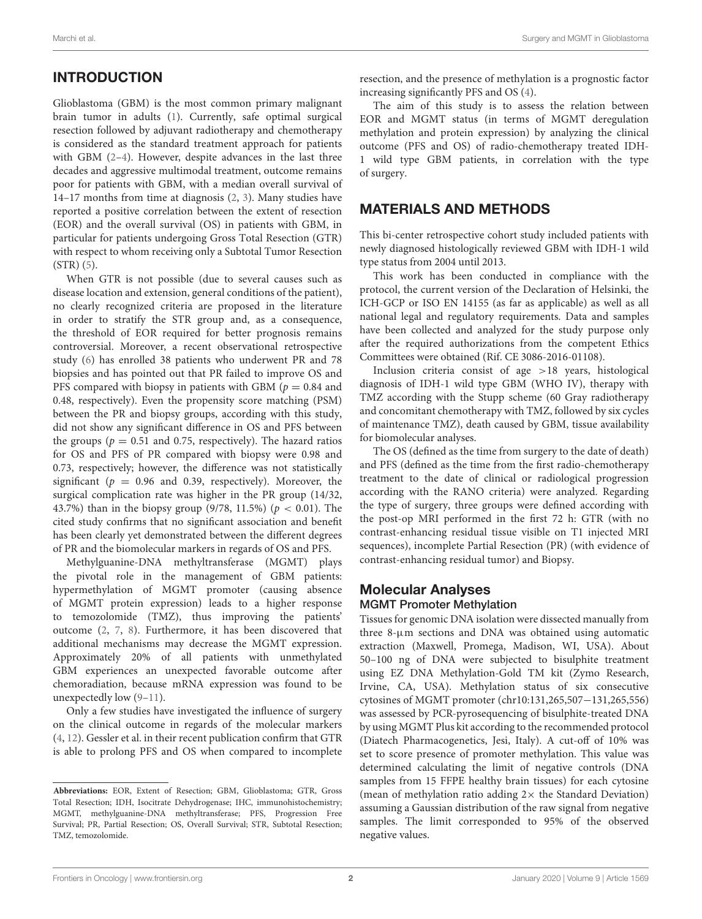## INTRODUCTION

Glioblastoma (GBM) is the most common primary malignant brain tumor in adults [\(1\)](#page-7-0). Currently, safe optimal surgical resection followed by adjuvant radiotherapy and chemotherapy is considered as the standard treatment approach for patients with GBM [\(2](#page-7-1)[–4\)](#page-7-2). However, despite advances in the last three decades and aggressive multimodal treatment, outcome remains poor for patients with GBM, with a median overall survival of 14–17 months from time at diagnosis [\(2,](#page-7-1) [3\)](#page-7-3). Many studies have reported a positive correlation between the extent of resection (EOR) and the overall survival (OS) in patients with GBM, in particular for patients undergoing Gross Total Resection (GTR) with respect to whom receiving only a Subtotal Tumor Resection (STR) [\(5\)](#page-7-4).

When GTR is not possible (due to several causes such as disease location and extension, general conditions of the patient), no clearly recognized criteria are proposed in the literature in order to stratify the STR group and, as a consequence, the threshold of EOR required for better prognosis remains controversial. Moreover, a recent observational retrospective study [\(6\)](#page-7-5) has enrolled 38 patients who underwent PR and 78 biopsies and has pointed out that PR failed to improve OS and PFS compared with biopsy in patients with GBM ( $p = 0.84$  and 0.48, respectively). Even the propensity score matching (PSM) between the PR and biopsy groups, according with this study, did not show any significant difference in OS and PFS between the groups ( $p = 0.51$  and 0.75, respectively). The hazard ratios for OS and PFS of PR compared with biopsy were 0.98 and 0.73, respectively; however, the difference was not statistically significant ( $p = 0.96$  and 0.39, respectively). Moreover, the surgical complication rate was higher in the PR group (14/32, 43.7%) than in the biopsy group (9/78, 11.5%) ( $p < 0.01$ ). The cited study confirms that no significant association and benefit has been clearly yet demonstrated between the different degrees of PR and the biomolecular markers in regards of OS and PFS.

Methylguanine-DNA methyltransferase (MGMT) plays the pivotal role in the management of GBM patients: hypermethylation of MGMT promoter (causing absence of MGMT protein expression) leads to a higher response to temozolomide (TMZ), thus improving the patients' outcome [\(2,](#page-7-1) [7,](#page-7-6) [8\)](#page-7-7). Furthermore, it has been discovered that additional mechanisms may decrease the MGMT expression. Approximately 20% of all patients with unmethylated GBM experiences an unexpected favorable outcome after chemoradiation, because mRNA expression was found to be unexpectedly low [\(9–](#page-7-8)[11\)](#page-7-9).

Only a few studies have investigated the influence of surgery on the clinical outcome in regards of the molecular markers [\(4,](#page-7-2) [12\)](#page-7-10). Gessler et al. in their recent publication confirm that GTR is able to prolong PFS and OS when compared to incomplete resection, and the presence of methylation is a prognostic factor increasing significantly PFS and OS [\(4\)](#page-7-2).

The aim of this study is to assess the relation between EOR and MGMT status (in terms of MGMT deregulation methylation and protein expression) by analyzing the clinical outcome (PFS and OS) of radio-chemotherapy treated IDH-1 wild type GBM patients, in correlation with the type of surgery.

## MATERIALS AND METHODS

This bi-center retrospective cohort study included patients with newly diagnosed histologically reviewed GBM with IDH-1 wild type status from 2004 until 2013.

This work has been conducted in compliance with the protocol, the current version of the Declaration of Helsinki, the ICH-GCP or ISO EN 14155 (as far as applicable) as well as all national legal and regulatory requirements. Data and samples have been collected and analyzed for the study purpose only after the required authorizations from the competent Ethics Committees were obtained (Rif. CE 3086-2016-01108).

Inclusion criteria consist of age >18 years, histological diagnosis of IDH-1 wild type GBM (WHO IV), therapy with TMZ according with the Stupp scheme (60 Gray radiotherapy and concomitant chemotherapy with TMZ, followed by six cycles of maintenance TMZ), death caused by GBM, tissue availability for biomolecular analyses.

The OS (defined as the time from surgery to the date of death) and PFS (defined as the time from the first radio-chemotherapy treatment to the date of clinical or radiological progression according with the RANO criteria) were analyzed. Regarding the type of surgery, three groups were defined according with the post-op MRI performed in the first 72 h: GTR (with no contrast-enhancing residual tissue visible on T1 injected MRI sequences), incomplete Partial Resection (PR) (with evidence of contrast-enhancing residual tumor) and Biopsy.

# Molecular Analyses

## MGMT Promoter Methylation

Tissues for genomic DNA isolation were dissected manually from three 8-µm sections and DNA was obtained using automatic extraction (Maxwell, Promega, Madison, WI, USA). About 50–100 ng of DNA were subjected to bisulphite treatment using EZ DNA Methylation-Gold TM kit (Zymo Research, Irvine, CA, USA). Methylation status of six consecutive cytosines of MGMT promoter (chr10:131,265,507−131,265,556) was assessed by PCR-pyrosequencing of bisulphite-treated DNA by using MGMT Plus kit according to the recommended protocol (Diatech Pharmacogenetics, Jesi, Italy). A cut-off of 10% was set to score presence of promoter methylation. This value was determined calculating the limit of negative controls (DNA samples from 15 FFPE healthy brain tissues) for each cytosine (mean of methylation ratio adding  $2 \times$  the Standard Deviation) assuming a Gaussian distribution of the raw signal from negative samples. The limit corresponded to 95% of the observed negative values.

**Abbreviations:** EOR, Extent of Resection; GBM, Glioblastoma; GTR, Gross Total Resection; IDH, Isocitrate Dehydrogenase; IHC, immunohistochemistry; MGMT, methylguanine-DNA methyltransferase; PFS, Progression Free Survival; PR, Partial Resection; OS, Overall Survival; STR, Subtotal Resection; TMZ, temozolomide.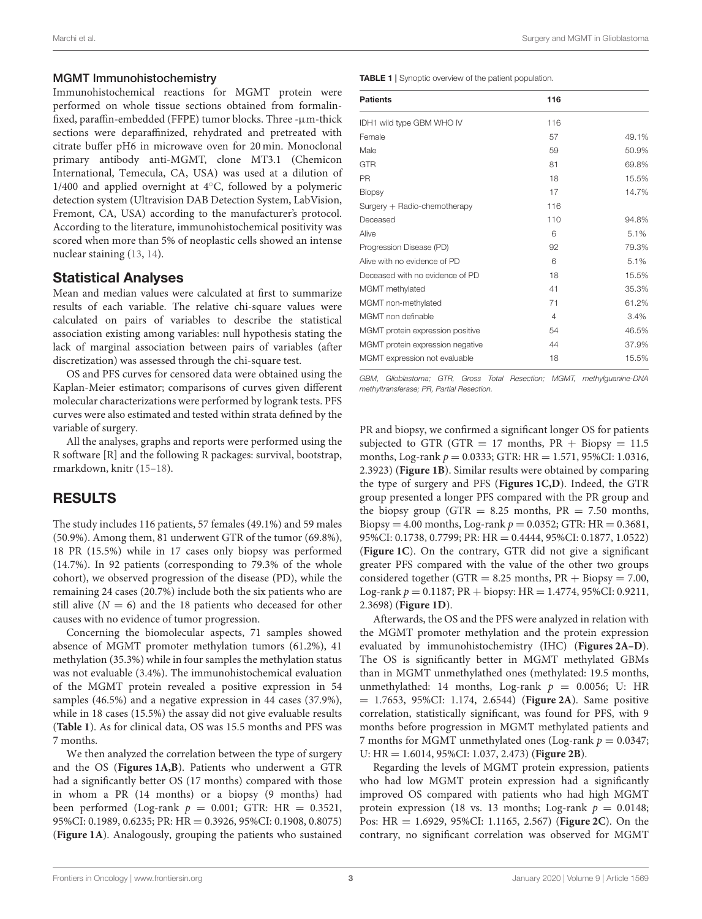## MGMT Immunohistochemistry

Immunohistochemical reactions for MGMT protein were performed on whole tissue sections obtained from formalinfixed, paraffin-embedded (FFPE) tumor blocks. Three  $-\mu$ m-thick sections were deparaffinized, rehydrated and pretreated with citrate buffer pH6 in microwave oven for 20 min. Monoclonal primary antibody anti-MGMT, clone MT3.1 (Chemicon International, Temecula, CA, USA) was used at a dilution of 1/400 and applied overnight at 4◦C, followed by a polymeric detection system (Ultravision DAB Detection System, LabVision, Fremont, CA, USA) according to the manufacturer's protocol. According to the literature, immunohistochemical positivity was scored when more than 5% of neoplastic cells showed an intense nuclear staining [\(13,](#page-7-11) [14\)](#page-7-12).

## Statistical Analyses

Mean and median values were calculated at first to summarize results of each variable. The relative chi-square values were calculated on pairs of variables to describe the statistical association existing among variables: null hypothesis stating the lack of marginal association between pairs of variables (after discretization) was assessed through the chi-square test.

OS and PFS curves for censored data were obtained using the Kaplan-Meier estimator; comparisons of curves given different molecular characterizations were performed by logrank tests. PFS curves were also estimated and tested within strata defined by the variable of surgery.

All the analyses, graphs and reports were performed using the R software [R] and the following R packages: survival, bootstrap, rmarkdown, knitr [\(15](#page-7-13)[–18\)](#page-7-14).

# RESULTS

The study includes 116 patients, 57 females (49.1%) and 59 males (50.9%). Among them, 81 underwent GTR of the tumor (69.8%), 18 PR (15.5%) while in 17 cases only biopsy was performed (14.7%). In 92 patients (corresponding to 79.3% of the whole cohort), we observed progression of the disease (PD), while the remaining 24 cases (20.7%) include both the six patients who are still alive  $(N = 6)$  and the 18 patients who deceased for other causes with no evidence of tumor progression.

Concerning the biomolecular aspects, 71 samples showed absence of MGMT promoter methylation tumors (61.2%), 41 methylation (35.3%) while in four samples the methylation status was not evaluable (3.4%). The immunohistochemical evaluation of the MGMT protein revealed a positive expression in 54 samples (46.5%) and a negative expression in 44 cases (37.9%), while in 18 cases (15.5%) the assay did not give evaluable results (**[Table 1](#page-2-0)**). As for clinical data, OS was 15.5 months and PFS was 7 months.

We then analyzed the correlation between the type of surgery and the OS (**[Figures 1A,B](#page-3-0)**). Patients who underwent a GTR had a significantly better OS (17 months) compared with those in whom a PR (14 months) or a biopsy (9 months) had been performed (Log-rank  $p = 0.001$ ; GTR: HR = 0.3521, 95%CI: 0.1989, 0.6235; PR: HR = 0.3926, 95%CI: 0.1908, 0.8075) (**[Figure 1A](#page-3-0)**). Analogously, grouping the patients who sustained <span id="page-2-0"></span>TABLE 1 | Synoptic overview of the patient population.

| <b>Patients</b>                  | 116 |       |
|----------------------------------|-----|-------|
| IDH1 wild type GBM WHO IV        | 116 |       |
| Female                           | 57  | 49.1% |
| Male                             | 59  | 50.9% |
| <b>GTR</b>                       | 81  | 69.8% |
| <b>PR</b>                        | 18  | 15.5% |
| <b>Biopsy</b>                    | 17  | 14.7% |
| Surgery + Radio-chemotherapy     | 116 |       |
| Deceased                         | 110 | 94.8% |
| Alive                            | 6   | 5.1%  |
| Progression Disease (PD)         | 92  | 79.3% |
| Alive with no evidence of PD     | 6   | 5.1%  |
| Deceased with no evidence of PD  | 18  | 15.5% |
| MGMT methylated                  | 41  | 35.3% |
| MGMT non-methylated              | 71  | 61.2% |
| MGMT non definable               | 4   | 3.4%  |
| MGMT protein expression positive | 54  | 46.5% |
| MGMT protein expression negative | 44  | 37.9% |
| MGMT expression not evaluable    | 18  | 15.5% |

*GBM, Glioblastoma; GTR, Gross Total Resection; MGMT, methylguanine-DNA methyltransferase; PR, Partial Resection.*

PR and biopsy, we confirmed a significant longer OS for patients subjected to GTR (GTR  $= 17$  months, PR  $+$  Biopsy  $= 11.5$ months, Log-rank  $p = 0.0333$ ; GTR: HR = 1.571, 95%CI: 1.0316, 2.3923) (**[Figure 1B](#page-3-0)**). Similar results were obtained by comparing the type of surgery and PFS (**[Figures 1C,D](#page-3-0)**). Indeed, the GTR group presented a longer PFS compared with the PR group and the biopsy group (GTR  $= 8.25$  months, PR  $= 7.50$  months, Biopsy = 4.00 months, Log-rank  $p = 0.0352$ ; GTR: HR = 0.3681, 95%CI: 0.1738, 0.7799; PR: HR = 0.4444, 95%CI: 0.1877, 1.0522) (**[Figure 1C](#page-3-0)**). On the contrary, GTR did not give a significant greater PFS compared with the value of the other two groups considered together (GTR =  $8.25$  months, PR + Biopsy =  $7.00$ , Log-rank  $p = 0.1187$ ; PR + biopsy: HR = 1.4774, 95%CI: 0.9211, 2.3698) (**[Figure 1D](#page-3-0)**).

Afterwards, the OS and the PFS were analyzed in relation with the MGMT promoter methylation and the protein expression evaluated by immunohistochemistry (IHC) (**[Figures 2A–D](#page-4-0)**). The OS is significantly better in MGMT methylated GBMs than in MGMT unmethylathed ones (methylated: 19.5 months, unmethylathed: 14 months, Log-rank  $p = 0.0056$ ; U: HR = 1.7653, 95%CI: 1.174, 2.6544) (**[Figure 2A](#page-4-0)**). Same positive correlation, statistically significant, was found for PFS, with 9 months before progression in MGMT methylated patients and 7 months for MGMT unmethylated ones (Log-rank  $p = 0.0347$ ; U: HR = 1.6014, 95%CI: 1.037, 2.473) (**[Figure 2B](#page-4-0)**).

Regarding the levels of MGMT protein expression, patients who had low MGMT protein expression had a significantly improved OS compared with patients who had high MGMT protein expression (18 vs. 13 months; Log-rank  $p = 0.0148$ ; Pos: HR = 1.6929, 95%CI: 1.1165, 2.567) (**[Figure 2C](#page-4-0)**). On the contrary, no significant correlation was observed for MGMT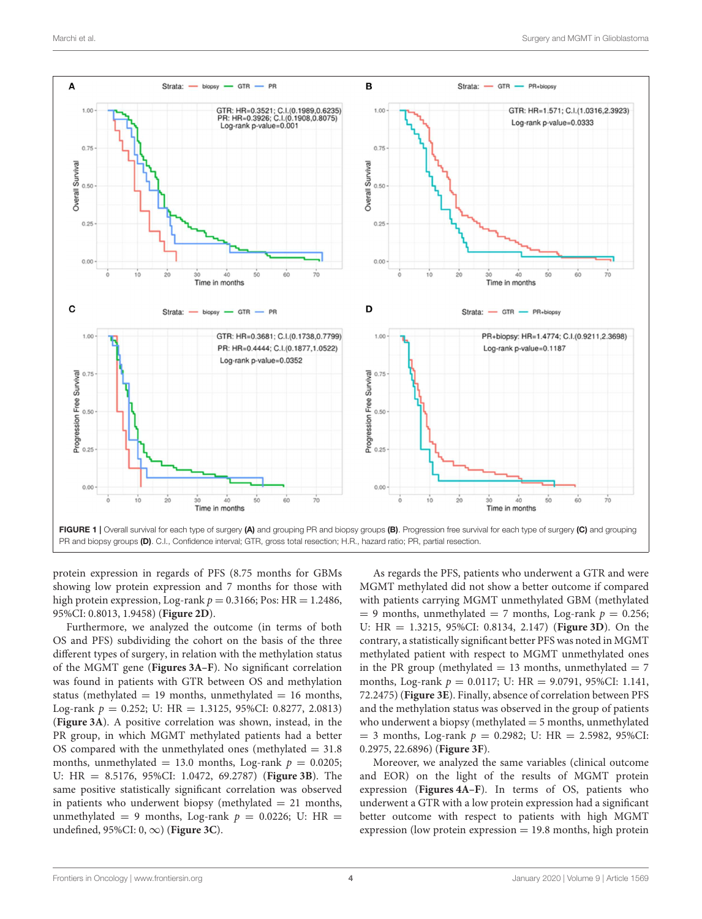

<span id="page-3-0"></span>protein expression in regards of PFS (8.75 months for GBMs showing low protein expression and 7 months for those with high protein expression, Log-rank  $p = 0.3166$ ; Pos: HR = 1.2486, 95%CI: 0.8013, 1.9458) (**[Figure 2D](#page-4-0)**).

Furthermore, we analyzed the outcome (in terms of both OS and PFS) subdividing the cohort on the basis of the three different types of surgery, in relation with the methylation status of the MGMT gene (**[Figures 3A–F](#page-5-0)**). No significant correlation was found in patients with GTR between OS and methylation status (methylated  $= 19$  months, unmethylated  $= 16$  months, Log-rank  $p = 0.252$ ; U: HR = 1.3125, 95%CI: 0.8277, 2.0813) (**[Figure 3A](#page-5-0)**). A positive correlation was shown, instead, in the PR group, in which MGMT methylated patients had a better OS compared with the unmethylated ones (methylated  $= 31.8$ ) months, unmethylated = 13.0 months, Log-rank  $p = 0.0205$ ; U: HR = 8.5176, 95%CI: 1.0472, 69.2787) (**[Figure 3B](#page-5-0)**). The same positive statistically significant correlation was observed in patients who underwent biopsy (methylated  $= 21$  months, unmethylated = 9 months, Log-rank  $p = 0.0226$ ; U: HR = undefined, 95%CI: 0, ∞) (**[Figure 3C](#page-5-0)**).

As regards the PFS, patients who underwent a GTR and were MGMT methylated did not show a better outcome if compared with patients carrying MGMT unmethylated GBM (methylated  $= 9$  months, unmethylated  $= 7$  months, Log-rank  $p = 0.256$ ; U: HR = 1.3215, 95%CI: 0.8134, 2.147) (**[Figure 3D](#page-5-0)**). On the contrary, a statistically significant better PFS was noted in MGMT methylated patient with respect to MGMT unmethylated ones in the PR group (methylated  $= 13$  months, unmethylated  $= 7$ months, Log-rank  $p = 0.0117$ ; U: HR = 9.0791, 95%CI: 1.141, 72.2475) (**[Figure 3E](#page-5-0)**). Finally, absence of correlation between PFS and the methylation status was observed in the group of patients who underwent a biopsy (methylated  $=$  5 months, unmethylated  $= 3$  months, Log-rank  $p = 0.2982$ ; U: HR  $= 2.5982$ , 95%CI: 0.2975, 22.6896) (**[Figure 3F](#page-5-0)**).

Moreover, we analyzed the same variables (clinical outcome and EOR) on the light of the results of MGMT protein expression (**[Figures 4A–F](#page-6-0)**). In terms of OS, patients who underwent a GTR with a low protein expression had a significant better outcome with respect to patients with high MGMT expression (low protein expression  $= 19.8$  months, high protein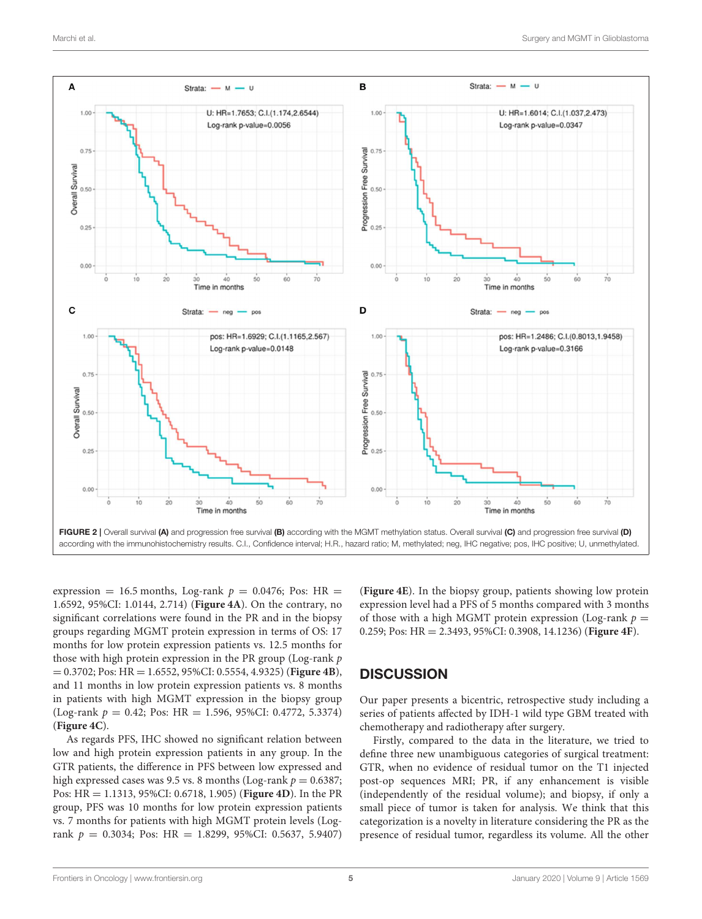

<span id="page-4-0"></span>expression = 16.5 months, Log-rank  $p = 0.0476$ ; Pos: HR = 1.6592, 95%CI: 1.0144, 2.714) (**[Figure 4A](#page-6-0)**). On the contrary, no significant correlations were found in the PR and in the biopsy groups regarding MGMT protein expression in terms of OS: 17 months for low protein expression patients vs. 12.5 months for those with high protein expression in the PR group (Log-rank  $p$ ) = 0.3702; Pos: HR = 1.6552, 95%CI: 0.5554, 4.9325) (**[Figure 4B](#page-6-0)**), and 11 months in low protein expression patients vs. 8 months in patients with high MGMT expression in the biopsy group (Log-rank  $p = 0.42$ ; Pos: HR = 1.596, 95%CI: 0.4772, 5.3374) (**[Figure 4C](#page-6-0)**).

As regards PFS, IHC showed no significant relation between low and high protein expression patients in any group. In the GTR patients, the difference in PFS between low expressed and high expressed cases was 9.5 vs. 8 months (Log-rank  $p = 0.6387$ ; Pos: HR = 1.1313, 95%CI: 0.6718, 1.905) (**[Figure 4D](#page-6-0)**). In the PR group, PFS was 10 months for low protein expression patients vs. 7 months for patients with high MGMT protein levels (Logrank  $p = 0.3034$ ; Pos: HR = 1.8299, 95%CI: 0.5637, 5.9407) (**[Figure 4E](#page-6-0)**). In the biopsy group, patients showing low protein expression level had a PFS of 5 months compared with 3 months of those with a high MGMT protein expression (Log-rank  $p =$ 0.259; Pos: HR = 2.3493, 95%CI: 0.3908, 14.1236) (**[Figure 4F](#page-6-0)**).

## **DISCUSSION**

Our paper presents a bicentric, retrospective study including a series of patients affected by IDH-1 wild type GBM treated with chemotherapy and radiotherapy after surgery.

Firstly, compared to the data in the literature, we tried to define three new unambiguous categories of surgical treatment: GTR, when no evidence of residual tumor on the T1 injected post-op sequences MRI; PR, if any enhancement is visible (independently of the residual volume); and biopsy, if only a small piece of tumor is taken for analysis. We think that this categorization is a novelty in literature considering the PR as the presence of residual tumor, regardless its volume. All the other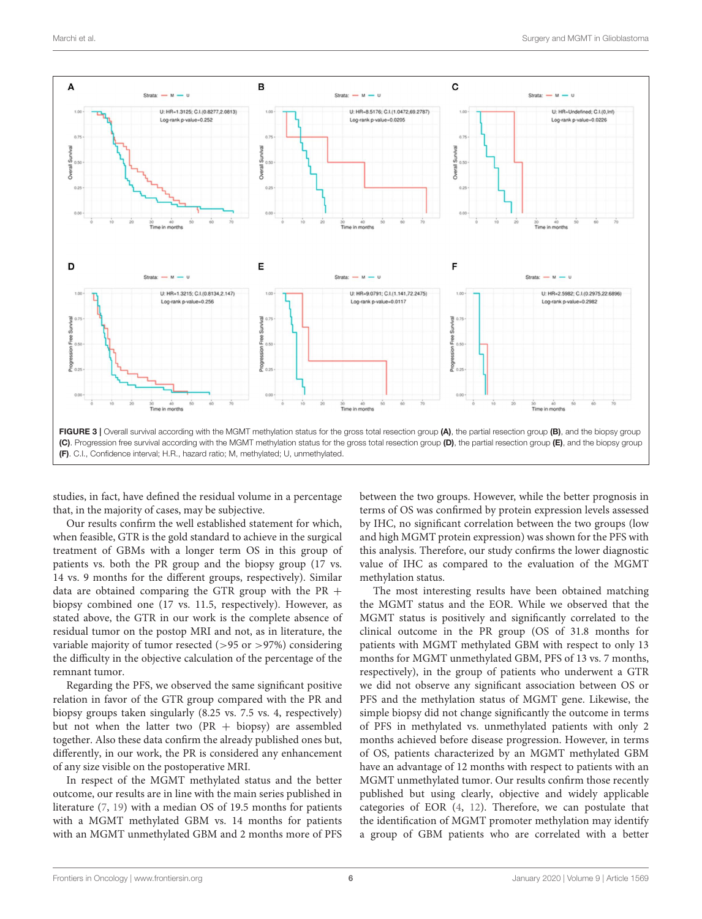

<span id="page-5-0"></span>studies, in fact, have defined the residual volume in a percentage that, in the majority of cases, may be subjective.

Our results confirm the well established statement for which, when feasible, GTR is the gold standard to achieve in the surgical treatment of GBMs with a longer term OS in this group of patients vs. both the PR group and the biopsy group (17 vs. 14 vs. 9 months for the different groups, respectively). Similar data are obtained comparing the GTR group with the PR + biopsy combined one (17 vs. 11.5, respectively). However, as stated above, the GTR in our work is the complete absence of residual tumor on the postop MRI and not, as in literature, the variable majority of tumor resected ( $>95$  or  $>97\%$ ) considering the difficulty in the objective calculation of the percentage of the remnant tumor.

Regarding the PFS, we observed the same significant positive relation in favor of the GTR group compared with the PR and biopsy groups taken singularly (8.25 vs. 7.5 vs. 4, respectively) but not when the latter two (PR  $+$  biopsy) are assembled together. Also these data confirm the already published ones but, differently, in our work, the PR is considered any enhancement of any size visible on the postoperative MRI.

In respect of the MGMT methylated status and the better outcome, our results are in line with the main series published in literature [\(7,](#page-7-6) [19\)](#page-8-0) with a median OS of 19.5 months for patients with a MGMT methylated GBM vs. 14 months for patients with an MGMT unmethylated GBM and 2 months more of PFS between the two groups. However, while the better prognosis in terms of OS was confirmed by protein expression levels assessed by IHC, no significant correlation between the two groups (low and high MGMT protein expression) was shown for the PFS with this analysis. Therefore, our study confirms the lower diagnostic value of IHC as compared to the evaluation of the MGMT methylation status.

The most interesting results have been obtained matching the MGMT status and the EOR. While we observed that the MGMT status is positively and significantly correlated to the clinical outcome in the PR group (OS of 31.8 months for patients with MGMT methylated GBM with respect to only 13 months for MGMT unmethylated GBM, PFS of 13 vs. 7 months, respectively), in the group of patients who underwent a GTR we did not observe any significant association between OS or PFS and the methylation status of MGMT gene. Likewise, the simple biopsy did not change significantly the outcome in terms of PFS in methylated vs. unmethylated patients with only 2 months achieved before disease progression. However, in terms of OS, patients characterized by an MGMT methylated GBM have an advantage of 12 months with respect to patients with an MGMT unmethylated tumor. Our results confirm those recently published but using clearly, objective and widely applicable categories of EOR [\(4,](#page-7-2) [12\)](#page-7-10). Therefore, we can postulate that the identification of MGMT promoter methylation may identify a group of GBM patients who are correlated with a better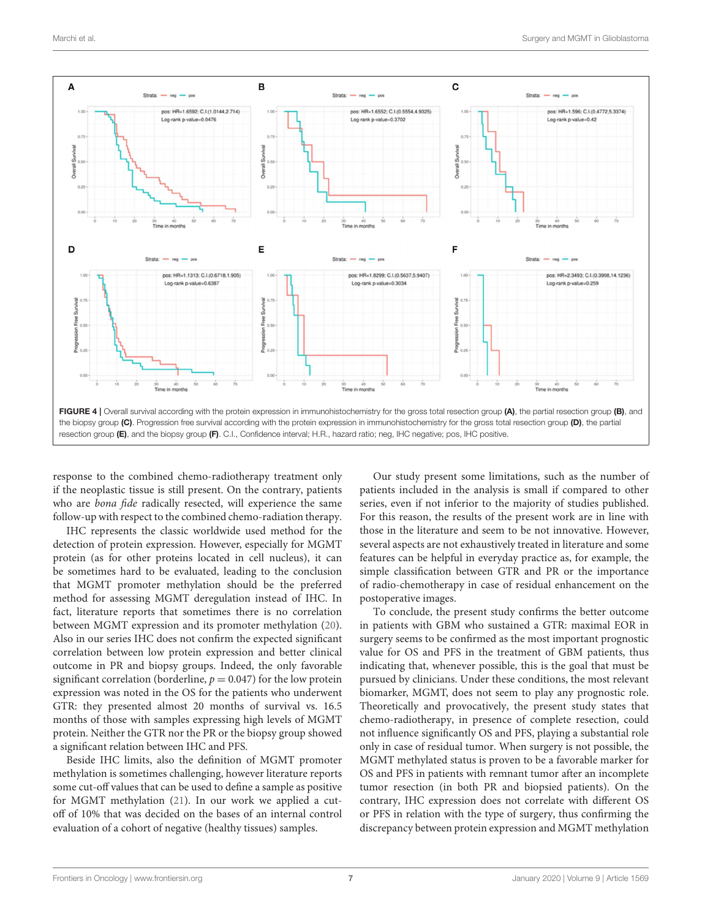

<span id="page-6-0"></span>response to the combined chemo-radiotherapy treatment only if the neoplastic tissue is still present. On the contrary, patients who are bona fide radically resected, will experience the same follow-up with respect to the combined chemo-radiation therapy.

IHC represents the classic worldwide used method for the detection of protein expression. However, especially for MGMT protein (as for other proteins located in cell nucleus), it can be sometimes hard to be evaluated, leading to the conclusion that MGMT promoter methylation should be the preferred method for assessing MGMT deregulation instead of IHC. In fact, literature reports that sometimes there is no correlation between MGMT expression and its promoter methylation [\(20\)](#page-8-1). Also in our series IHC does not confirm the expected significant correlation between low protein expression and better clinical outcome in PR and biopsy groups. Indeed, the only favorable significant correlation (borderline,  $p = 0.047$ ) for the low protein expression was noted in the OS for the patients who underwent GTR: they presented almost 20 months of survival vs. 16.5 months of those with samples expressing high levels of MGMT protein. Neither the GTR nor the PR or the biopsy group showed a significant relation between IHC and PFS.

Beside IHC limits, also the definition of MGMT promoter methylation is sometimes challenging, however literature reports some cut-off values that can be used to define a sample as positive for MGMT methylation [\(21\)](#page-8-2). In our work we applied a cutoff of 10% that was decided on the bases of an internal control evaluation of a cohort of negative (healthy tissues) samples.

Our study present some limitations, such as the number of patients included in the analysis is small if compared to other series, even if not inferior to the majority of studies published. For this reason, the results of the present work are in line with those in the literature and seem to be not innovative. However, several aspects are not exhaustively treated in literature and some features can be helpful in everyday practice as, for example, the simple classification between GTR and PR or the importance of radio-chemotherapy in case of residual enhancement on the postoperative images.

To conclude, the present study confirms the better outcome in patients with GBM who sustained a GTR: maximal EOR in surgery seems to be confirmed as the most important prognostic value for OS and PFS in the treatment of GBM patients, thus indicating that, whenever possible, this is the goal that must be pursued by clinicians. Under these conditions, the most relevant biomarker, MGMT, does not seem to play any prognostic role. Theoretically and provocatively, the present study states that chemo-radiotherapy, in presence of complete resection, could not influence significantly OS and PFS, playing a substantial role only in case of residual tumor. When surgery is not possible, the MGMT methylated status is proven to be a favorable marker for OS and PFS in patients with remnant tumor after an incomplete tumor resection (in both PR and biopsied patients). On the contrary, IHC expression does not correlate with different OS or PFS in relation with the type of surgery, thus confirming the discrepancy between protein expression and MGMT methylation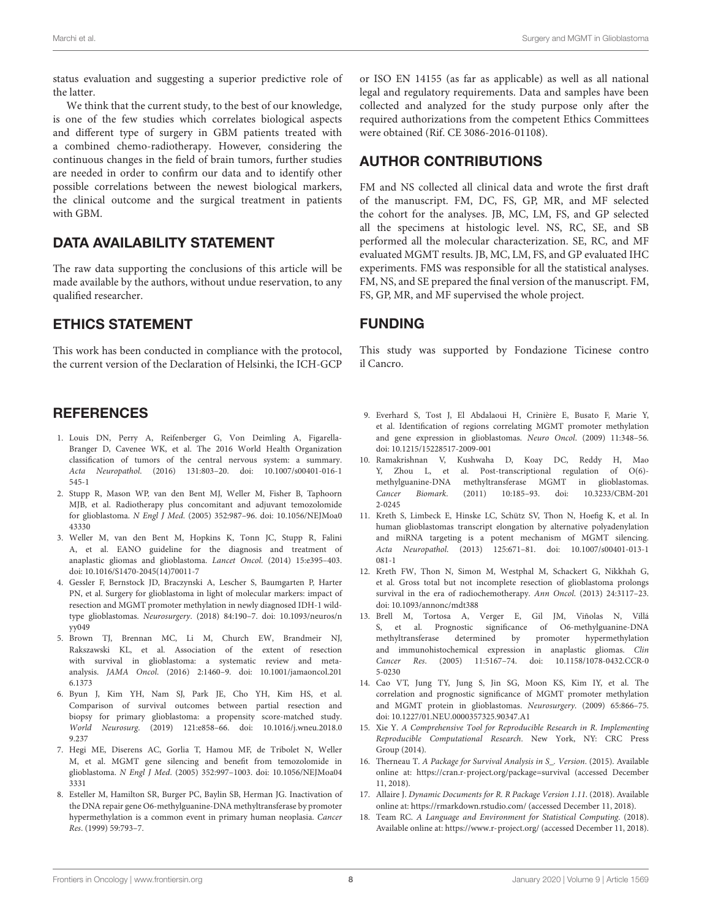status evaluation and suggesting a superior predictive role of the latter.

We think that the current study, to the best of our knowledge, is one of the few studies which correlates biological aspects and different type of surgery in GBM patients treated with a combined chemo-radiotherapy. However, considering the continuous changes in the field of brain tumors, further studies are needed in order to confirm our data and to identify other possible correlations between the newest biological markers, the clinical outcome and the surgical treatment in patients with GBM.

## DATA AVAILABILITY STATEMENT

The raw data supporting the conclusions of this article will be made available by the authors, without undue reservation, to any qualified researcher.

## ETHICS STATEMENT

This work has been conducted in compliance with the protocol, the current version of the Declaration of Helsinki, the ICH-GCP

## **REFERENCES**

- <span id="page-7-0"></span>1. Louis DN, Perry A, Reifenberger G, Von Deimling A, Figarella-Branger D, Cavenee WK, et al. The 2016 World Health Organization classification of tumors of the central nervous system: a summary. Acta Neuropathol[. \(2016\) 131:803–20. doi: 10.1007/s00401-016-1](https://doi.org/10.1007/s00401-016-1545-1) 545-1
- <span id="page-7-1"></span>2. Stupp R, Mason WP, van den Bent MJ, Weller M, Fisher B, Taphoorn MJB, et al. Radiotherapy plus concomitant and adjuvant temozolomide for glioblastoma. N Engl J Med[. \(2005\) 352:987–96. doi: 10.1056/NEJMoa0](https://doi.org/10.1056/NEJMoa043330) 43330
- <span id="page-7-3"></span>3. Weller M, van den Bent M, Hopkins K, Tonn JC, Stupp R, Falini A, et al. EANO guideline for the diagnosis and treatment of anaplastic gliomas and glioblastoma. Lancet Oncol. (2014) 15:e395–403. doi: [10.1016/S1470-2045\(14\)70011-7](https://doi.org/10.1016/S1470-2045(14)70011-7)
- <span id="page-7-2"></span>4. Gessler F, Bernstock JD, Braczynski A, Lescher S, Baumgarten P, Harter PN, et al. Surgery for glioblastoma in light of molecular markers: impact of resection and MGMT promoter methylation in newly diagnosed IDH-1 wildtype glioblastomas. Neurosurgery[. \(2018\) 84:190–7. doi: 10.1093/neuros/n](https://doi.org/10.1093/neuros/nyy049) yy049
- <span id="page-7-4"></span>5. Brown TJ, Brennan MC, Li M, Church EW, Brandmeir NJ, Rakszawski KL, et al. Association of the extent of resection with survival in glioblastoma: a systematic review and metaanalysis. JAMA Oncol[. \(2016\) 2:1460–9. doi: 10.1001/jamaoncol.201](https://doi.org/10.1001/jamaoncol.2016.1373) 6.1373
- <span id="page-7-5"></span>6. Byun J, Kim YH, Nam SJ, Park JE, Cho YH, Kim HS, et al. Comparison of survival outcomes between partial resection and biopsy for primary glioblastoma: a propensity score-matched study. World Neurosurg[. \(2019\) 121:e858–66. doi: 10.1016/j.wneu.2018.0](https://doi.org/10.1016/j.wneu.2018.09.237) 9.237
- <span id="page-7-6"></span>7. Hegi ME, Diserens AC, Gorlia T, Hamou MF, de Tribolet N, Weller M, et al. MGMT gene silencing and benefit from temozolomide in glioblastoma. N Engl J Med[. \(2005\) 352:997–1003. doi: 10.1056/NEJMoa04](https://doi.org/10.1056/NEJMoa043331) 3331
- <span id="page-7-7"></span>8. Esteller M, Hamilton SR, Burger PC, Baylin SB, Herman JG. Inactivation of the DNA repair gene O6-methylguanine-DNA methyltransferase by promoter hypermethylation is a common event in primary human neoplasia. Cancer Res. (1999) 59:793–7.

or ISO EN 14155 (as far as applicable) as well as all national legal and regulatory requirements. Data and samples have been collected and analyzed for the study purpose only after the required authorizations from the competent Ethics Committees were obtained (Rif. CE 3086-2016-01108).

# AUTHOR CONTRIBUTIONS

FM and NS collected all clinical data and wrote the first draft of the manuscript. FM, DC, FS, GP, MR, and MF selected the cohort for the analyses. JB, MC, LM, FS, and GP selected all the specimens at histologic level. NS, RC, SE, and SB performed all the molecular characterization. SE, RC, and MF evaluated MGMT results. JB, MC, LM, FS, and GP evaluated IHC experiments. FMS was responsible for all the statistical analyses. FM, NS, and SE prepared the final version of the manuscript. FM, FS, GP, MR, and MF supervised the whole project.

## FUNDING

This study was supported by Fondazione Ticinese contro il Cancro.

- <span id="page-7-8"></span>9. Everhard S, Tost J, El Abdalaoui H, Crinière E, Busato F, Marie Y, et al. Identification of regions correlating MGMT promoter methylation and gene expression in glioblastomas. Neuro Oncol. (2009) 11:348–56. doi: [10.1215/15228517-2009-001](https://doi.org/10.1215/15228517-2009-001)
- 10. Ramakrishnan V, Kushwaha D, Koay DC, Reddy H, Mao Y, Zhou L, et al. Post-transcriptional regulation of O(6) methylguanine-DNA methyltransferase MGMT in glioblastomas. Cancer Biomark[. \(2011\) 10:185–93. doi: 10.3233/CBM-201](https://doi.org/10.3233/CBM-2012-0245) 2-0245
- <span id="page-7-9"></span>11. Kreth S, Limbeck E, Hinske LC, Schütz SV, Thon N, Hoefig K, et al. In human glioblastomas transcript elongation by alternative polyadenylation and miRNA targeting is a potent mechanism of MGMT silencing. Acta Neuropathol[. \(2013\) 125:671–81. doi: 10.1007/s00401-013-1](https://doi.org/10.1007/s00401-013-1081-1) 081-1
- <span id="page-7-10"></span>12. Kreth FW, Thon N, Simon M, Westphal M, Schackert G, Nikkhah G, et al. Gross total but not incomplete resection of glioblastoma prolongs survival in the era of radiochemotherapy. Ann Oncol. (2013) 24:3117–23. doi: [10.1093/annonc/mdt388](https://doi.org/10.1093/annonc/mdt388)
- <span id="page-7-11"></span>13. Brell M, Tortosa A, Verger E, Gil JM, Viñolas N, Villá S, et al. Prognostic significance of O6-methylguanine-DNA methyltransferase determined by promoter hypermethylation and immunohistochemical expression in anaplastic gliomas. Clin Cancer Res[. \(2005\) 11:5167–74. doi: 10.1158/1078-0432.CCR-0](https://doi.org/10.1158/1078-0432.CCR-05-0230) 5-0230
- <span id="page-7-12"></span>14. Cao VT, Jung TY, Jung S, Jin SG, Moon KS, Kim IY, et al. The correlation and prognostic significance of MGMT promoter methylation and MGMT protein in glioblastomas. Neurosurgery. (2009) 65:866–75. doi: [10.1227/01.NEU.0000357325.90347.A1](https://doi.org/10.1227/01.NEU.0000357325.90347.A1)
- <span id="page-7-13"></span>15. Xie Y. A Comprehensive Tool for Reproducible Research in R. Implementing Reproducible Computational Research. New York, NY: CRC Press Group (2014).
- 16. Therneau T. A Package for Survival Analysis in S\_. Version. (2015). Available online at:<https://cran.r-project.org/package=survival> (accessed December 11, 2018).
- 17. Allaire J. Dynamic Documents for R. R Package Version 1.11. (2018). Available online at:<https://rmarkdown.rstudio.com/> (accessed December 11, 2018).
- <span id="page-7-14"></span>18. Team RC. A Language and Environment for Statistical Computing. (2018). Available online at:<https://www.r-project.org/> (accessed December 11, 2018).